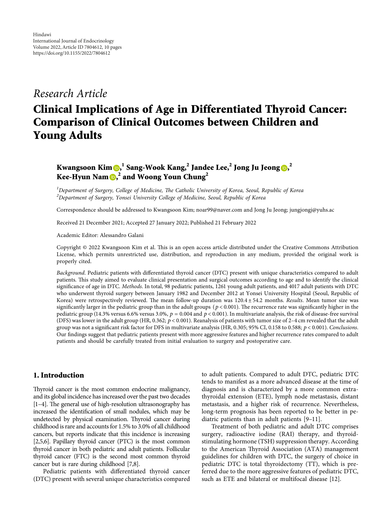## *Research Article*

# **Clinical Implications of Age in Differentiated Thyroid Cancer: Comparison of Clinical Outcomes between Children and Young Adults**

### **Kwangsoon Kim [,](https://orcid.org/0000-0001-6403-6035) <sup>1</sup> Sang-Wook Kang,<sup>2</sup> Jandee Lee,<sup>2</sup> Jong Ju Jeong [,](https://orcid.org/0000-0002-4155-6035) 2 Kee-Hyun Nam [,](https://orcid.org/0000-0002-6852-1190) <sup>2</sup> and Woong Youn Chung<sup>2</sup>**

<sup>1</sup>Department of Surgery, College of Medicine, The Catholic University of Korea, Seoul, Republic of Korea *2 Department of Surgery, Yonsei University College of Medicine, Seoul, Republic of Korea*

Correspondence should be addressed to Kwangsoon Kim; [noar99@naver.com](mailto:noar99@naver.com) and Jong Ju Jeong; [jungjongj@yuhs.ac](mailto:jungjongj@yuhs.ac)

Received 21 December 2021; Accepted 27 January 2022; Published 21 February 2022

Academic Editor: Alessandro Galani

Copyright © 2022 Kwangsoon Kim et al. This is an open access article distributed under the [Creative Commons Attribution](https://creativecommons.org/licenses/by/4.0/) [License,](https://creativecommons.org/licenses/by/4.0/) which permits unrestricted use, distribution, and reproduction in any medium, provided the original work is properly cited.

*Background*. Pediatric patients with differentiated thyroid cancer (DTC) present with unique characteristics compared to adult patients. This study aimed to evaluate clinical presentation and surgical outcomes according to age and to identify the clinical significance of age in DTC. *Methods*. In total, 98 pediatric patients, 1261 young adult patients, and 4017 adult patients with DTC who underwent thyroid surgery between January 1982 and December 2012 at Yonsei University Hospital (Seoul, Republic of Korea) were retrospectively reviewed. The mean follow-up duration was 120.4 ± 54.2 months. *Results*. Mean tumor size was significantly larger in the pediatric group than in the adult groups ( $p < 0.001$ ). The recurrence rate was significantly higher in the pediatric group (14.3% versus 6.6% versus 3.0%, *p* � 0*.*004 and *p* < 0*.*001). In multivariate analysis, the risk of disease-free survival (DFS) was lower in the adult group (HR, 0.362; *p* < 0*.*001). Reanalysis of patients with tumor size of 2–4 cm revealed that the adult group was not a significant risk factor for DFS in multivariate analysis (HR, 0.305; 95% CI, 0.158 to 0.588; *p* < 0*.*001). *Conclusions*. Our findings suggest that pediatric patients present with more aggressive features and higher recurrence rates compared to adult patients and should be carefully treated from initial evaluation to surgery and postoperative care.

#### **1. Introduction**

Thyroid cancer is the most common endocrine malignancy, and its global incidence has increased over the past two decades  $[1-4]$ . The general use of high-resolution ultrasonography has increased the identification of small nodules, which may be undetected by physical examination. Thyroid cancer during childhood is rare and accounts for 1.5% to 3.0% of all childhood cancers, but reports indicate that this incidence is increasing [\[2,5](#page-8-0),[6](#page-8-0)]. Papillary thyroid cancer (PTC) is the most common thyroid cancer in both pediatric and adult patients. Follicular thyroid cancer (FTC) is the second most common thyroid cancer but is rare during childhood [\[7,8](#page-8-0)].

Pediatric patients with differentiated thyroid cancer (DTC) present with several unique characteristics compared to adult patients. Compared to adult DTC, pediatric DTC tends to manifest as a more advanced disease at the time of diagnosis and is characterized by a more common extrathyroidal extension (ETE), lymph node metastasis, distant metastasis, and a higher risk of recurrence. Nevertheless, long-term prognosis has been reported to be better in pediatric patients than in adult patients [\[9–11](#page-8-0)].

Treatment of both pediatric and adult DTC comprises surgery, radioactive iodine (RAI) therapy, and thyroidstimulating hormone (TSH) suppression therapy. According to the American Thyroid Association (ATA) management guidelines for children with DTC, the surgery of choice in pediatric DTC is total thyroidectomy (TT), which is preferred due to the more aggressive features of pediatric DTC, such as ETE and bilateral or multifocal disease [\[12](#page-8-0)].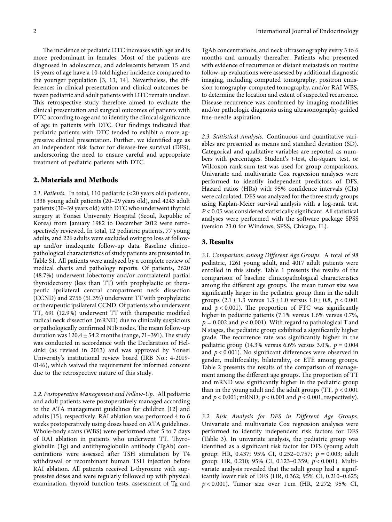The incidence of pediatric DTC increases with age and is more predominant in females. Most of the patients are diagnosed in adolescence, and adolescents between 15 and 19 years of age have a 10-fold higher incidence compared to the younger population [\[3](#page-8-0), [13, 14\]](#page-8-0). Nevertheless, the differences in clinical presentation and clinical outcomes between pediatric and adult patients with DTC remain unclear. This retrospective study therefore aimed to evaluate the clinical presentation and surgical outcomes of patients with DTC according to age and to identify the clinical significance of age in patients with DTC. Our findings indicated that pediatric patients with DTC tended to exhibit a more aggressive clinical presentation. Further, we identified age as an independent risk factor for disease-free survival (DFS), underscoring the need to ensure careful and appropriate treatment of pediatric patients with DTC.

#### **2. Materials and Methods**

*2.1. Patients.* In total, 110 pediatric (<20 years old) patients, 1338 young adult patients (20–29 years old), and 4243 adult patients (30–39 years old) with DTC who underwent thyroid surgery at Yonsei University Hospital (Seoul, Republic of Korea) from January 1982 to December 2012 were retrospectively reviewed. In total, 12 pediatric patients, 77 young adults, and 226 adults were excluded owing to loss at followup and/or inadequate follow-up data. Baseline clinicopathological characteristics of study patients are presented in Table [S1](#page-8-0). All patients were analyzed by a complete review of medical charts and pathology reports. Of patients, 2620 (48.7%) underwent lobectomy and/or contralateral partial thyroidectomy (less than TT) with prophylactic or therapeutic ipsilateral central compartment neck dissection (CCND) and 2756 (51.3%) underwent TT with prophylactic or therapeutic ipsilateral CCND. Of patients who underwent TT, 691 (12.9%) underwent TT with therapeutic modified radical neck dissection (mRND) due to clinically suspicious or pathologically confirmed N1b nodes. The mean follow-up duration was  $120.4 \pm 54.2$  months (range, 71–391). The study was conducted in accordance with the Declaration of Helsinki (as revised in 2013) and was approved by Yonsei University's institutional review board (IRB No.: 4-2019- 0146), which waived the requirement for informed consent due to the retrospective nature of this study.

*2.2. Postoperative Management and Follow-Up.* All pediatric and adult patients were postoperatively managed according to the ATA management guidelines for children [[12\]](#page-8-0) and adults [\[15](#page-8-0)], respectively. RAI ablation was performed 4 to 6 weeks postoperatively using doses based on ATA guidelines. Whole-body scans (WBS) were performed after 5 to 7 days of RAI ablation in patients who underwent TT. Thyroglobulin (Tg) and antithyroglobulin antibody (TgAb) concentrations were assessed after TSH stimulation by T4 withdrawal or recombinant human TSH injection before RAI ablation. All patients received L-thyroxine with suppressive doses and were regularly followed up with physical examination, thyroid function tests, assessment of Tg and TgAb concentrations, and neck ultrasonography every 3 to 6 months and annually thereafter. Patients who presented with evidence of recurrence or distant metastasis on routine follow-up evaluations were assessed by additional diagnostic imaging, including computed tomography, positron emission tomography-computed tomography, and/or RAI WBS, to determine the location and extent of suspected recurrence. Disease recurrence was confirmed by imaging modalities and/or pathologic diagnosis using ultrasonography-guided fine-needle aspiration.

*2.3. Statistical Analysis.* Continuous and quantitative variables are presented as means and standard deviation (SD). Categorical and qualitative variables are reported as numbers with percentages. Student's *t*-test, chi-square test, or Wilcoxon rank-sum test was used for group comparisons. Univariate and multivariate Cox regression analyses were performed to identify independent predictors of DFS. Hazard ratios (HRs) with 95% confidence intervals (CIs) were calculated. DFS was analyzed for the three study groups using Kaplan-Meier survival analysis with a log-rank test. *P* < 0*.*05 was considered statistically significant. All statistical analyses were performed with the software package SPSS (version 23.0 for Windows; SPSS, Chicago, IL).

#### **3. Results**

*3.1. Comparison among Different Age Groups.* A total of 98 pediatric, 1261 young adult, and 4017 adult patients were enrolled in this study. Table [1](#page-2-0) presents the results of the comparison of baseline clinicopathological characteristics among the different age groups. The mean tumor size was significantly larger in the pediatric group than in the adult groups  $(2.1 \pm 1.3 \text{ versus } 1.3 \pm 1.0 \text{ versus } 1.0 \pm 0.8, p < 0.001$ and  $p < 0.001$ ). The proportion of FTC was significantly higher in pediatric patients (7.1% versus 1.6% versus 0.7%,  $p = 0.002$  and  $p < 0.001$ ). With regard to pathological T and N stages, the pediatric group exhibited a significantly higher grade. The recurrence rate was significantly higher in the pediatric group (14.3% versus 6.6% versus 3.0%,  $p = 0.004$ and *p* < 0*.*001). No significant differences were observed in gender, multifocality, bilaterality, or ETE among groups. Table [2](#page-2-0) presents the results of the comparison of management among the different age groups. The proportion of TT and mRND was significantly higher in the pediatric group than in the young adult and the adult groups (TT, *p* < 0*.*001 and *p* < 0*.*001; mRND; *p* < 0*.*001 and *p* < 0*.*001, respectively).

*3.2. Risk Analysis for DFS in Different Age Groups.* Univariate and multivariate Cox regression analyses were performed to identify independent risk factors for DFS (Table [3\)](#page-3-0). In univariate analysis, the pediatric group was identified as a significant risk factor for DFS (young adult group: HR, 0.437; 95% CI, 0.252-0.757;  $p = 0.003$ ; adult group: HR, 0.210; 95% CI, 0.123–0.359; *p* < 0*.*001). Multivariate analysis revealed that the adult group had a significantly lower risk of DFS (HR, 0.362; 95% CI, 0.210–0.625; *p* < 0*.*001). Tumor size over 1 cm (HR, 2.272; 95% CI,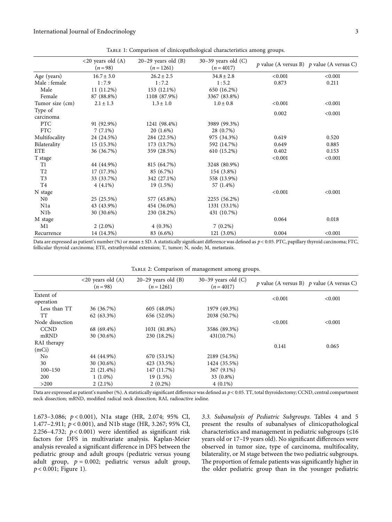Table 1: Comparison of clinicopathological characteristics among groups.

<span id="page-2-0"></span>

|                  | $\langle 20 \rangle$ years old $(A)$<br>$(n=98)$ | $20-29$ years old $(B)$<br>$(n=1261)$ | $30-39$ years old $(C)$<br>$(n = 4017)$ |         | $p$ value (A versus B) $p$ value (A versus C) |
|------------------|--------------------------------------------------|---------------------------------------|-----------------------------------------|---------|-----------------------------------------------|
| Age (years)      | $16.7 \pm 3.0$                                   | $26.2 \pm 2.5$                        | $34.8 \pm 2.8$                          | < 0.001 | < 0.001                                       |
| Male: female     | 1:7.9                                            | 1:7.2                                 | 1:5.2                                   | 0.873   | 0.211                                         |
| Male             | $11(11.2\%)$                                     | 153 (12.1%)                           | 650 (16.2%)                             |         |                                               |
| Female           | 87 (88.8%)                                       | 1108 (87.9%)                          | 3367 (83.8%)                            |         |                                               |
| Tumor size (cm)  | $2.1 \pm 1.3$                                    | $1.3 \pm 1.0$                         | $1.0 \pm 0.8$                           | < 0.001 | < 0.001                                       |
| Type of          |                                                  |                                       |                                         |         |                                               |
| carcinoma        |                                                  |                                       |                                         | 0.002   | < 0.001                                       |
| <b>PTC</b>       | 91 (92.9%)                                       | 1241 (98.4%)                          | 3989 (99.3%)                            |         |                                               |
| <b>FTC</b>       | $7(7.1\%)$                                       | $20(1.6\%)$                           | 28 (0.7%)                               |         |                                               |
| Multifocality    | 24 (24.5%)                                       | 284 (22.5%)                           | 975 (34.3%)                             | 0.619   | 0.520                                         |
| Bilaterality     | 15 (15.3%)                                       | 173 (13.7%)                           | 592 (14.7%)                             | 0.649   | 0.885                                         |
| <b>ETE</b>       | 36 (36.7%)                                       | 359 (28.5%)                           | 610 (15.2%)                             | 0.402   | 0.153                                         |
| T stage          |                                                  |                                       |                                         | < 0.001 | < 0.001                                       |
| T <sub>1</sub>   | 44 (44.9%)                                       | 815 (64.7%)                           | 3248 (80.9%)                            |         |                                               |
| T <sub>2</sub>   | 17 (17.3%)                                       | 85 (6.7%)                             | 154 (3.8%)                              |         |                                               |
| T <sub>3</sub>   | 33 (33.7%)                                       | 342 (27.1%)                           | 558 (13.9%)                             |         |                                               |
| T4               | $4(4.1\%)$                                       | $19(1.5\%)$                           | 57 (1.4%)                               |         |                                               |
| N stage          |                                                  |                                       |                                         | < 0.001 | < 0.001                                       |
| $_{\rm N0}$      | 25 (25.5%)                                       | 577 (45.8%)                           | 2255 (56.2%)                            |         |                                               |
| N <sub>1</sub> a | 43 (43.9%)                                       | 454 (36.0%)                           | 1331 (33.1%)                            |         |                                               |
| N <sub>1</sub> b | 30 (30.6%)                                       | 230 (18.2%)                           | 431 (10.7%)                             |         |                                               |
| M stage          |                                                  |                                       |                                         | 0.064   | 0.018                                         |
| M1               | $2(2.0\%)$                                       | $4(0.3\%)$                            | $7(0.2\%)$                              |         |                                               |
| Recurrence       | 14 (14.3%)                                       | 83 (6.6%)                             | 121 (3.0%)                              | 0.004   | < 0.001                                       |

Data are expressed as patient's number (%) or mean ± SD. A statistically significant difference was defined as  $p$  < 0.05. PTC, papillary thyroid carcinoma; FTC, follicular thyroid carcinoma; ETE, extrathyroidal extension; T, tumor; N, node; M, metastasis.

|                 | $<20$ years old $(A)$<br>$(n=98)$ | $20-29$ years old $(B)$<br>$(n=1261)$ | $30-39$ years old $(C)$<br>$(n=4017)$ |         | $p$ value (A versus B) $p$ value (A versus C) |
|-----------------|-----------------------------------|---------------------------------------|---------------------------------------|---------|-----------------------------------------------|
| Extent of       |                                   |                                       |                                       |         |                                               |
| operation       |                                   |                                       |                                       | < 0.001 | < 0.001                                       |
| Less than TT    | 36 (36.7%)                        | 605 (48.0%)                           | 1979 (49.3%)                          |         |                                               |
| <b>TT</b>       | $62(63.3\%)$                      | 656 (52.0%)                           | 2038 (50.7%)                          |         |                                               |
| Node dissection |                                   |                                       |                                       | < 0.001 | < 0.001                                       |
| <b>CCND</b>     | 68 (69.4%)                        | 1031 (81.8%)                          | 3586 (89.3%)                          |         |                                               |
| mRND            | $30(30.6\%)$                      | 230 (18.2%)                           | 431(10.7%)                            |         |                                               |
| RAI therapy     |                                   |                                       |                                       |         |                                               |
| (mCi)           |                                   |                                       |                                       | 0.141   | 0.065                                         |
| N <sub>0</sub>  | 44 (44.9%)                        | 670 (53.1%)                           | 2189 (54.5%)                          |         |                                               |
| 30              | $30(30.6\%)$                      | 423 (33.5%)                           | 1424 (35.5%)                          |         |                                               |
| $100 - 150$     | $21(21.4\%)$                      | 147 (11.7%)                           | 367 (9.1%)                            |         |                                               |
| 200             | $1(1.0\%)$                        | 19 (1.5%)                             | 33 (0.8%)                             |         |                                               |
| $>200$          | $2(2.1\%)$                        | $2(0.2\%)$                            | $4(0.1\%)$                            |         |                                               |

Data are expressed as patient's number (%). A statistically significant difference was defined as *p* < 0*.*05. TT, total thyroidectomy; CCND, central compartment neck dissection; mRND, modified radical neck dissection; RAI, radioactive iodine.

1.673–3.086; *p* < 0*.*001), N1a stage (HR, 2.074; 95% CI, 1.477–2.911; *p* < 0*.*001), and N1b stage (HR, 3.267; 95% CI, 2.256–4.732; *p* < 0*.*001) were identified as significant risk factors for DFS in multivariate analysis. Kaplan-Meier analysis revealed a significant difference in DFS between the pediatric group and adult groups (pediatric versus young adult group,  $p = 0.002$ ; pediatric versus adult group, *p* < 0*.*001; Figure [1](#page-3-0)).

*3.3. Subanalysis of Pediatric Subgroups.* Tables [4](#page-3-0) and [5](#page-4-0) present the results of subanalyses of clinicopathological characteristics and management in pediatric subgroups (≤16 years old or 17–19 years old). No significant differences were observed in tumor size, type of carcinoma, multifocality, bilaterality, or M stage between the two pediatric subgroups. The proportion of female patients was significantly higher in the older pediatric group than in the younger pediatric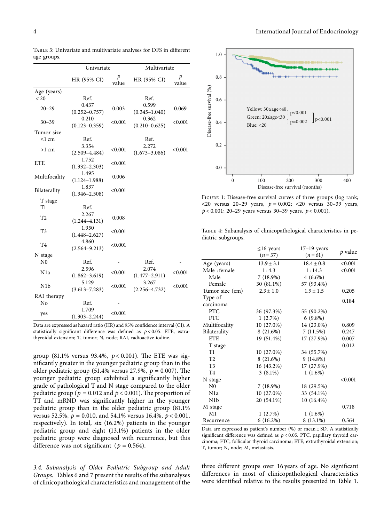|                | Univariate                 |            | Multivariate      |                |
|----------------|----------------------------|------------|-------------------|----------------|
|                | HR (95% CI)                | p<br>value | HR (95% CI)       | P<br>value     |
| Age (years)    |                            |            |                   |                |
| ${}_{< 20}$    | Ref.                       |            | Ref.              |                |
| $20 - 29$      | 0.437                      | 0.003      | 0.599             | 0.069          |
|                | $(0.252 - 0.757)$          |            | $(0.345 - 1.040)$ |                |
| $30 - 39$      | 0.210                      | < 0.001    | 0.362             | $<$ 0.001 $\,$ |
|                | $(0.123 - 0.359)$          |            | $(0.210 - 0.625)$ |                |
| Tumor size     |                            |            |                   |                |
| $\leq$ 1 cm    | Ref.                       |            | Ref.              |                |
| $>1$ cm        | 3.354                      | < 0.001    | 2.272             | $<$ 0.001 $\,$ |
|                | $(2.509 - 4.484)$          |            | $(1.673 - 3.086)$ |                |
| <b>ETE</b>     | 1.752                      | ${<}0.001$ |                   |                |
|                | $(1.332 - 2.303)$          |            |                   |                |
| Multifocality  | 1.495                      | 0.006      |                   |                |
|                | $(1.124 - 1.988)$<br>1.837 |            |                   |                |
| Bilaterality   | $(1.346 - 2.508)$          | ${<}0.001$ |                   |                |
| T stage        |                            |            |                   |                |
| Т1             | Ref.                       |            |                   |                |
|                | 2.267                      |            |                   |                |
| Τ2             | $(1.244 - 4.131)$          | 0.008      |                   |                |
|                | 1.950                      |            |                   |                |
| T3             | $(1.448 - 2.627)$          | < 0.001    |                   |                |
|                | 4.860                      |            |                   |                |
| T4             | $(2.564 - 9.213)$          | ${<}0.001$ |                   |                |
| N stage        |                            |            |                   |                |
| N <sub>0</sub> | Ref.                       |            | Ref.              |                |
| N1a            | 2.596                      |            | 2.074             |                |
|                | $(1.862 - 3.619)$          | < 0.001    | $(1.477 - 2.911)$ | < 0.001        |
| N1b            | 5.129                      | < 0.001    | 3.267             | $<$ 0.001 $\,$ |
|                | $(3.613 - 7.283)$          |            | $(2.256 - 4.732)$ |                |
| RAI therapy    |                            |            |                   |                |
| No             | Ref.                       |            |                   |                |
|                | 1.709                      | < 0.001    |                   |                |
| yes            | $(1.303 - 2.244)$          |            |                   |                |

<span id="page-3-0"></span>Table 3: Univariate and multivariate analyses for DFS in different age groups.

Data are expressed as hazard ratio (HR) and 95% confidence interval (CI). A statistically significant difference was defined as *p* < 0*.*05. ETE, extrathyroidal extension; T, tumor; N, node; RAI, radioactive iodine.

group (81.1% versus 93.4%,  $p < 0.001$ ). The ETE was significantly greater in the younger pediatric group than in the older pediatric group (51.4% versus 27.9%,  $p = 0.007$ ). The younger pediatric group exhibited a significantly higher grade of pathological T and N stage compared to the older pediatric group ( $p = 0.012$  and  $p < 0.001$ ). The proportion of TT and mRND was significantly higher in the younger pediatric group than in the older pediatric group (81.1% versus 52.5%,  $p = 0.010$ , and 54.1% versus 16.4%,  $p < 0.001$ , respectively). In total, six (16.2%) patients in the younger pediatric group and eight (13.1%) patients in the older pediatric group were diagnosed with recurrence, but this difference was not significant ( $p = 0.564$ ).

*3.4. Subanalysis of Older Pediatric Subgroup and Adult Groups.* Tables [6](#page-4-0) and [7](#page-5-0) present the results of the subanalyses of clinicopathological characteristics and management of the



Figure 1: Disease-free survival curves of three groups (log rank;  $<$ 20 versus 20–29 years,  $p = 0.002$ ;  $<$ 20 versus 30–39 years, *p* < 0*.*001; 20–29 years versus 30–39 years, *p* < 0*.*001).

Table 4: Subanalysis of clinicopathological characteristics in pediatric subgroups.

| $\leq$ 16 years | $17-19$ years |         |
|-----------------|---------------|---------|
| $(n=37)$        | $(n=61)$      | p value |
| $13.9 \pm 3.1$  | $18.4 + 0.8$  | < 0.001 |
| 1:4.3           | 1:14.3        | < 0.001 |
| 7(18.9%)        | $4(6.6\%)$    |         |
| 30 (81.1%)      | 57 (93.4%)    |         |
| $2.3 \pm 1.0$   | $1.9 \pm 1.5$ | 0.205   |
|                 |               |         |
|                 |               | 0.184   |
| 36 (97.3%)      | 55 (90.2%)    |         |
| 1(2.7%)         | $6(9.8\%)$    |         |
| $10(27.0\%)$    | 14 (23.0%)    | 0.809   |
| 8(21.6%)        | 7(11.5%)      | 0.247   |
| 19 (51.4%)      | 17 (27.9%)    | 0.007   |
|                 |               | 0.012   |
| 10 (27.0%)      | 34 (55.7%)    |         |
| 8 (21.6%)       | $9(14.8\%)$   |         |
| 16 (43.2%)      | 17 (27.9%)    |         |
| $3(8.1\%)$      | $1(1.6\%)$    |         |
|                 |               | < 0.001 |
| 7(18.9%)        | 18 (29.5%)    |         |
| 10 (27.0%)      | 33 (54.1%)    |         |
| 20 (54.1%)      | 10 (16.4%)    |         |
|                 |               | 0.718   |
| $1(2.7\%)$      | $1(1.6\%)$    |         |
| $6(16.2\%)$     | $8(13.1\%)$   | 0.564   |
|                 |               |         |

Data are expressed as patient's number (%) or mean  $\pm$  SD. A statistically significant difference was defined as *p* < 0*.*05. PTC, papillary thyroid carcinoma; FTC, follicular thyroid carcinoma; ETE, extrathyroidal extension; T, tumor; N, node; M, metastasis.

three different groups over 16 years of age. No significant differences in most of clinicopathological characteristics were identified relative to the results presented in Table [1.](#page-2-0)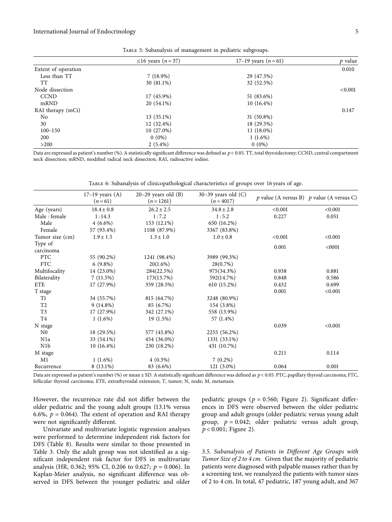#### <span id="page-4-0"></span>International Journal of Endocrinology 5

|                     | $\leq 16$ years $(n=37)$ | 17-19 years $(n=61)$ | $p$ value |
|---------------------|--------------------------|----------------------|-----------|
| Extent of operation |                          |                      | 0.010     |
| Less than TT        | $7(18.9\%)$              | 29 (47.5%)           |           |
| <b>TT</b>           | 30 (81.1%)               | 32 (52.5%)           |           |
| Node dissection     |                          |                      | < 0.001   |
| <b>CCND</b>         | 17 (45.9%)               | 51 (83.6%)           |           |
| mRND                | 20 (54.1%)               | $10(16.4\%)$         |           |
| RAI therapy (mCi)   |                          |                      | 0.147     |
| No                  | 13 (35.1%)               | 31 (50.8%)           |           |
| 30                  | 12 (32.4%)               | 18 (29.5%)           |           |
| $100 - 150$         | $10(27.0\%)$             | $11(18.0\%)$         |           |
| 200                 | $0(0\%)$                 | $1(1.6\%)$           |           |
| >200                | $2(5.4\%)$               | $0(0\%)$             |           |

Table 5: Subanalysis of management in pediatric subgroups.

Data are expressed as patient's number (%). A statistically significant difference was defined as *p* < 0*.*05. TT, total thyroidectomy; CCND, central compartment neck dissection; mRND, modified radical neck dissection; RAI, radioactive iodine.

|                  | $17-19$ years $(A)$<br>$(n=61)$ | $20-29$ years old $(B)$<br>$(n=1261)$ | $30-39$ years old $(C)$<br>$(n = 4017)$ |         | $p$ value (A versus B) $p$ value (A versus C) |
|------------------|---------------------------------|---------------------------------------|-----------------------------------------|---------|-----------------------------------------------|
| Age (years)      | $18.4 \pm 0.8$                  | $26.2 \pm 2.5$                        | $34.8 \pm 2.8$                          | < 0.001 | < 0.001                                       |
| Male: female     | 1:14.3                          | 1:7.2                                 | 1:5.2                                   | 0.227   | 0.051                                         |
| Male             | $4(6.6\%)$                      | 153 (12.1%)                           | 650 (16.2%)                             |         |                                               |
| Female           | 57 (93.4%)                      | 1108 (87.9%)                          | 3367 (83.8%)                            |         |                                               |
| Tumor size (cm)  | $1.9 \pm 1.5$                   | $1.3 \pm 1.0$                         | $1.0 \pm 0.8$                           | < 0.001 | < 0.001                                       |
| Type of          |                                 |                                       |                                         |         |                                               |
| carcinoma        |                                 |                                       |                                         | 0.001   | < 0001                                        |
| PTC              | 55 (90.2%)                      | 1241 (98.4%)                          | 3989 (99.3%)                            |         |                                               |
| <b>FTC</b>       | $6(9.8\%)$                      | 20(1.6%)                              | 28(0.7%)                                |         |                                               |
| Multifocality    | 14 (23.0%)                      | 284(22.5%)                            | 975(34.3%)                              | 0.938   | 0.881                                         |
| Bilaterality     | 7(11.5%)                        | 173(13.7%)                            | 592(14.7%)                              | 0.848   | 0.586                                         |
| <b>ETE</b>       | 17 (27.9%)                      | 359 (28.5%)                           | 610 (15.2%)                             | 0.432   | 0.699                                         |
| T stage          |                                 |                                       |                                         | 0.001   | < 0.001                                       |
| T1               | 34 (55.7%)                      | 815 (64.7%)                           | 3248 (80.9%)                            |         |                                               |
| T2               | $9(14.8\%)$                     | 85 (6.7%)                             | 154 (3.8%)                              |         |                                               |
| T <sub>3</sub>   | 17 (27.9%)                      | 342 (27.1%)                           | 558 (13.9%)                             |         |                                               |
| T4               | $1(1.6\%)$                      | 19(1.5%)                              | 57 (1.4%)                               |         |                                               |
| N stage          |                                 |                                       |                                         | 0.039   | < 0.001                                       |
| N <sub>0</sub>   | 18 (29.5%)                      | 577 (45.8%)                           | 2255 (56.2%)                            |         |                                               |
| N <sub>1</sub> a | 33 (54.1%)                      | 454 (36.0%)                           | 1331 (33.1%)                            |         |                                               |
| N1b              | $10(16.4\%)$                    | 230 (18.2%)                           | 431 (10.7%)                             |         |                                               |
| M stage          |                                 |                                       |                                         | 0.211   | 0.114                                         |
| M1               | $1(1.6\%)$                      | $4(0.3\%)$                            | $7(0.2\%)$                              |         |                                               |
| Recurrence       | 8 (13.1%)                       | 83 (6.6%)                             | 121 (3.0%)                              | 0.064   | 0.001                                         |

Data are expressed as patient's number (%) or mean ± SD. A statistically significant difference was defined as  $p$  < 0.05. PTC, papillary thyroid carcinoma; FTC, follicular thyroid carcinoma; ETE, extrathyroidal extension; T, tumor; N, node; M, metastasis.

However, the recurrence rate did not differ between the older pediatric and the young adult groups (13.1% versus 6.6%,  $p = 0.064$ ). The extent of operation and RAI therapy were not significantly different.

Univariate and multivariate logistic regression analyses were performed to determine independent risk factors for DFS (Table [8\)](#page-6-0). Results were similar to those presented in Table [3.](#page-3-0) Only the adult group was not identified as a significant independent risk factor for DFS in multivariate analysis (HR, 0.362; 95% CI, 0.206 to 0.627;  $p = 0.006$ ). In Kaplan-Meier analysis, no significant difference was observed in DFS between the younger pediatric and older

pediatric groups ( $p = 0.560$ ; Figure [2](#page-6-0)). Significant differences in DFS were observed between the older pediatric group and adult groups (older pediatric versus young adult group,  $p = 0.042$ ; older pediatric versus adult group, *p* < 0*.*001; Figure [2](#page-6-0)).

*3.5. Subanalysis of Patients in Different Age Groups with Tumor Size of 2 to 4 cm.* Given that the majority of pediatric patients were diagnosed with palpable masses rather than by a screening test, we reanalyzed the patients with tumor sizes of 2 to 4 cm. In total, 47 pediatric, 187 young adult, and 367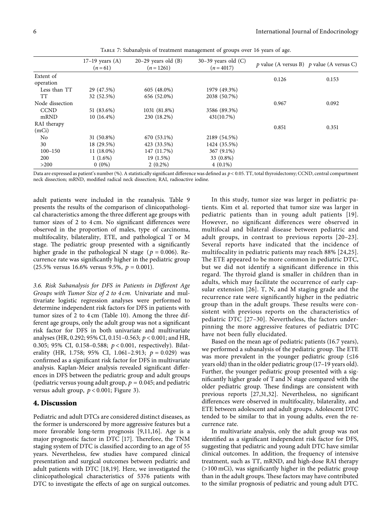<span id="page-5-0"></span>

|                 | $17-19$ years $(A)$<br>$(n=61)$ | $20-29$ years old $(B)$<br>$(n=1261)$ | $30-39$ years old $(C)$<br>$(n = 4017)$ |       | p value (A versus B) p value (A versus C) |
|-----------------|---------------------------------|---------------------------------------|-----------------------------------------|-------|-------------------------------------------|
| Extent of       |                                 |                                       |                                         |       |                                           |
| operation       |                                 |                                       |                                         | 0.126 | 0.153                                     |
| Less than TT    | 29 (47.5%)                      | 605 (48.0%)                           | 1979 (49.3%)                            |       |                                           |
| TТ              | 32 (52.5%)                      | 656 (52.0%)                           | 2038 (50.7%)                            |       |                                           |
| Node dissection |                                 |                                       |                                         | 0.967 | 0.092                                     |
| <b>CCND</b>     | 51 (83.6%)                      | 1031 (81.8%)                          | 3586 (89.3%)                            |       |                                           |
| mRND            | $10(16.4\%)$                    | 230 (18.2%)                           | 431(10.7%)                              |       |                                           |
| RAI therapy     |                                 |                                       |                                         |       |                                           |
| (mCi)           |                                 |                                       |                                         | 0.851 | 0.351                                     |
| N <sub>0</sub>  | 31 (50.8%)                      | 670 (53.1%)                           | 2189 (54.5%)                            |       |                                           |
| 30              | 18 (29.5%)                      | 423 (33.5%)                           | 1424 (35.5%)                            |       |                                           |
| $100 - 150$     | $11(18.0\%)$                    | 147 (11.7%)                           | 367 (9.1%)                              |       |                                           |
| 200             | $1(1.6\%)$                      | 19 (1.5%)                             | 33 (0.8%)                               |       |                                           |
| >200            | $0(0\%)$                        | $2(0.2\%)$                            | $4(0.1\%)$                              |       |                                           |

Table 7: Subanalysis of treatment management of groups over 16 years of age.

Data are expressed as patient's number (%). A statistically significant difference was defined as *p* < 0*.*05. TT, total thyroidectomy; CCND, central compartment neck dissection; mRND, modified radical neck dissection; RAI, radioactive iodine.

adult patients were included in the reanalysis. Table [9](#page-7-0) presents the results of the comparison of clinicopathological characteristics among the three different age groups with tumor sizes of 2 to 4 cm. No significant differences were observed in the proportion of males, type of carcinoma, multifocality, bilaterality, ETE, and pathological T or M stage. The pediatric group presented with a significantly higher grade in the pathological N stage ( $p = 0.006$ ). Recurrence rate was significantly higher in the pediatric group  $(25.5\% \text{ versus } 16.6\% \text{ versus } 9.5\%, p = 0.001).$ 

*3.6. Risk Subanalysis for DFS in Patients in Different Age Groups with Tumor Size of 2 to 4 cm.* Univariate and multivariate logistic regression analyses were performed to determine independent risk factors for DFS in patients with tumor sizes of 2 to 4 cm (Table [10](#page-7-0)). Among the three different age groups, only the adult group was not a significant risk factor for DFS in both univariate and multivariate analyses (HR, 0.292; 95% CI, 0.151–0.563; *p* < 0*.*001; and HR, 0.305; 95% CI, 0.158–0.588; *p* < 0*.*001, respectively). Bilaterality (HR, 1.758; 95% CI, 1.061-2.913;  $p = 0.029$ ) was confirmed as a significant risk factor for DFS in multivariate analysis. Kaplan-Meier analysis revealed significant differences in DFS between the pediatric group and adult groups (pediatric versus young adult group,  $p = 0.045$ ; and pediatric versus adult group, *p* < 0*.*001; Figure [3\)](#page-7-0).

#### **4. Discussion**

Pediatric and adult DTCs are considered distinct diseases, as the former is underscored by more aggressive features but a more favorable long-term prognosis [[9,11,16](#page-8-0)]. Age is a major prognostic factor in DTC [[17\]](#page-8-0). Therefore, the TNM staging system of DTC is classified according to an age of 55 years. Nevertheless, few studies have compared clinical presentation and surgical outcomes between pediatric and adult patients with DTC [[18,](#page-8-0)[19\]](#page-9-0). Here, we investigated the clinicopathological characteristics of 5376 patients with DTC to investigate the effects of age on surgical outcomes.

In this study, tumor size was larger in pediatric patients. Kim et al. reported that tumor size was larger in pediatric patients than in young adult patients [[19](#page-9-0)]. However, no significant differences were observed in multifocal and bilateral disease between pediatric and adult groups, in contrast to previous reports [[20–23](#page-9-0)]. Several reports have indicated that the incidence of multifocality in pediatric patients may reach 88% [[24,25](#page-9-0)]. The ETE appeared to be more common in pediatric DTC, but we did not identify a significant difference in this regard. The thyroid gland is smaller in children than in adults, which may facilitate the occurrence of early capsular extension [\[26](#page-9-0)]. T, N, and M staging grade and the recurrence rate were significantly higher in the pediatric group than in the adult groups. These results were consistent with previous reports on the characteristics of pediatric DTC [[27–30\]](#page-9-0). Nevertheless, the factors underpinning the more aggressive features of pediatric DTC have not been fully elucidated.

Based on the mean age of pediatric patients (16.7 years), we performed a subanalysis of the pediatric group. The ETE was more prevalent in the younger pediatric group  $(\leq 16)$ years old) than in the older pediatric group (17–19 years old). Further, the younger pediatric group presented with a significantly higher grade of T and N stage compared with the older pediatric group. These findings are consistent with previous reports [\[27,31](#page-9-0),[32](#page-9-0)]. Nevertheless, no significant differences were observed in multifocality, bilaterality, and ETE between adolescent and adult groups. Adolescent DTC tended to be similar to that in young adults, even the recurrence rate.

In multivariate analysis, only the adult group was not identified as a significant independent risk factor for DFS, suggesting that pediatric and young adult DTC have similar clinical outcomes. In addition, the frequency of intensive treatment, such as TT, mRND, and high-dose RAI therapy (>100 mCi), was significantly higher in the pediatric group than in the adult groups. These factors may have contributed to the similar prognosis of pediatric and young adult DTC.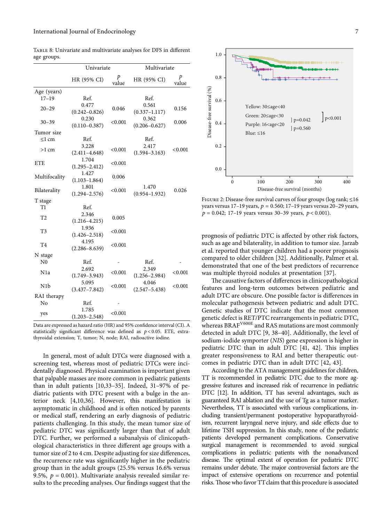|                  | Univariate                 |                | Multivariate               |            |
|------------------|----------------------------|----------------|----------------------------|------------|
|                  | HR (95% CI)                | p<br>value     | HR (95% CI)                | p<br>value |
| Age (years)      |                            |                |                            |            |
| $17 - 19$        | Ref.                       |                | Ref.                       |            |
| $20 - 29$        | 0.477<br>$(0.242 - 0.826)$ | 0.046          | 0.561<br>$(0.337 - 1.117)$ | 0.156      |
| $30 - 39$        | 0.230<br>$(0.110 - 0.387)$ | < 0.001        | 0.362<br>$(0.206 - 0.627)$ | 0.006      |
| Tumor size       |                            |                |                            |            |
| $\leq$ 1 cm      | Ref.                       |                | Ref.                       |            |
| $>1$ cm          | 3.228<br>$(2.411 - 4.648)$ | < 0.001        | 2.417<br>$(1.594 - 3.163)$ | < 0.001    |
| <b>ETE</b>       | 1.704<br>$(1.295 - 2.412)$ | < 0.001        |                            |            |
| Multifocality    | 1.427<br>$(1.103 - 1.864)$ | 0.006          |                            |            |
| Bilaterality     | 1.801<br>$(1.294 - 2.576)$ | < 0.001        | 1.470<br>$(0.954 - 1.932)$ | 0.026      |
| T stage          |                            |                |                            |            |
| T1               | Ref.                       |                |                            |            |
| T <sub>2</sub>   | 2.346<br>$(1.216 - 4.215)$ | 0.005          |                            |            |
| T3               | 1.936<br>$(1.426 - 2.518)$ | $<$ 0.001 $\,$ |                            |            |
| T <sub>4</sub>   | 4.195<br>$(2.286 - 8.639)$ | < 0.001        |                            |            |
| N stage          |                            |                |                            |            |
| N <sub>0</sub>   | Ref.                       |                | Ref.                       |            |
| N <sub>1</sub> a | 2.692<br>$(1.749 - 3.943)$ | < 0.001        | 2.349<br>$(1.256 - 2.984)$ | < 0.001    |
| N <sub>1</sub> b | 5.095<br>$(3.437 - 7.842)$ | < 0.001        | 4.046<br>$(2.547 - 5.438)$ | ${<}0.001$ |
| RAI therapy      |                            |                |                            |            |
| No               | Ref.                       |                |                            |            |
| yes              | 1.785<br>$(1.203 - 2.548)$ | < 0.001        |                            |            |

<span id="page-6-0"></span>Table 8: Univariate and multivariate analyses for DFS in different age groups.

In general, most of adult DTCs were diagnosed with a screening test, whereas most of pediatric DTCs were incidentally diagnosed. Physical examination is important given that palpable masses are more common in pediatric patients than in adult patients [\[10](#page-8-0)[,33–35\]](#page-9-0). Indeed, 31–97% of pediatric patients with DTC present with a bulge in the anterior neck [\[4,10,](#page-8-0)[36\]](#page-9-0). However, this manifestation is asymptomatic in childhood and is often noticed by parents or medical staff, rendering an early diagnosis of pediatric patients challenging. In this study, the mean tumor size of pediatric DTC was significantly larger than that of adult DTC. Further, we performed a subanalysis of clinicopathological characteristics in three different age groups with a tumor size of 2 to 4 cm. Despite adjusting for size differences, the recurrence rate was significantly higher in the pediatric group than in the adult groups (25.5% versus 16.6% versus 9.5%,  $p = 0.001$ ). Multivariate analysis revealed similar results to the preceding analyses. Our findings suggest that the



Figure 2: Disease-free survival curves of four groups (log rank; ≤16 years versus  $17-19$  years,  $p = 0.560$ ;  $17-19$  years versus  $20-29$  years,  $p = 0.042$ ; 17–19 years versus 30–39 years,  $p < 0.001$ ).

prognosis of pediatric DTC is affected by other risk factors, such as age and bilaterality, in addition to tumor size. Jarzab et al. reported that younger children had a poorer prognosis compared to older children [[32](#page-9-0)]. Additionally, Palmer et al. demonstrated that one of the best predictors of recurrence was multiple thyroid nodules at presentation [[37](#page-9-0)].

The causative factors of differences in clinicopathological features and long-term outcomes between pediatric and adult DTC are obscure. One possible factor is differences in molecular pathogenesis between pediatric and adult DTC. Genetic studies of DTC indicate that the most common genetic defect is RET/PTC rearrangements in pediatric DTC, whereas BRAF<sup>V600E</sup> and RAS mutations are most commonly detected in adult DTC [\[9](#page-8-0), [38–40\]](#page-9-0). Additionally, the level of sodium-iodide symporter (*NIS*) gene expression is higher in pediatric DTC than in adult DTC [[41, 42\]](#page-9-0). This implies greater responsiveness to RAI and better therapeutic outcomes in pediatric DTC than in adult DTC [[42](#page-9-0), [43\]](#page-9-0).

According to the ATA management guidelines for children, TT is recommended in pediatric DTC due to the more aggressive features and increased risk of recurrence in pediatric DTC [\[12\]](#page-8-0). In addition, TT has several advantages, such as guaranteed RAI ablation and the use of Tg as a tumor marker. Nevertheless, TT is associated with various complications, including transient/permanent postoperative hypoparathyroidism, recurrent laryngeal nerve injury, and side effects due to lifetime TSH suppression. In this study, none of the pediatric patients developed permanent complications. Conservative surgical management is recommended to avoid surgical complications in pediatric patients with the nonadvanced disease. The optimal extent of operation for pediatric DTC remains under debate. The major controversial factors are the impact of extensive operations on recurrence and potential risks. Those who favor TT claim that this procedure is associated

Data are expressed as hazard ratio (HR) and 95% confidence interval (CI). A statistically significant difference was defined as *p* < 0*.*05. ETE, extrathyroidal extension; T, tumor; N, node; RAI, radioactive iodine.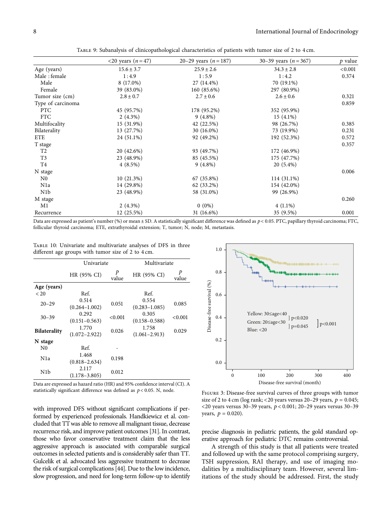<span id="page-7-0"></span>

|                   | <20 years $(n = 47)$ | 20–29 years $(n=187)$ | 30–39 years ( $n = 367$ ) | p value |
|-------------------|----------------------|-----------------------|---------------------------|---------|
| Age (years)       | $15.6 \pm 3.7$       | $25.9 \pm 2.6$        | $34.3 \pm 2.8$            | < 0.001 |
| Male: female      | 1:4.9                | 1:5.9                 | 1:4.2                     | 0.374   |
| Male              | 8 (17.0%)            | 27 (14.4%)            | 70 (19.1%)                |         |
| Female            | 39 (83.0%)           | 160 (85.6%)           | 297 (80.9%)               |         |
| Tumor size (cm)   | $2.8 \pm 0.7$        | $2.7 \pm 0.6$         | $2.6 \pm 0.6$             | 0.321   |
| Type of carcinoma |                      |                       |                           | 0.859   |
| <b>PTC</b>        | 45 (95.7%)           | 178 (95.2%)           | 352 (95.9%)               |         |
| <b>FTC</b>        | $2(4.3\%)$           | $9(4.8\%)$            | $15(4.1\%)$               |         |
| Multifocality     | 15 (31.9%)           | 42 (22.5%)            | 98 (26.7%)                | 0.385   |
| Bilaterality      | 13 (27.7%)           | 30 (16.0%)            | 73 (19.9%)                | 0.231   |
| <b>ETE</b>        | 24 (51.1%)           | 92 (49.2%)            | 192 (52.3%)               | 0.572   |
| T stage           |                      |                       |                           | 0.357   |
| T2                | 20 (42.6%)           | 93 (49.7%)            | 172 (46.9%)               |         |
| T <sub>3</sub>    | 23 (48.9%)           | 85 (45.5%)            | 175 (47.7%)               |         |
| T <sub>4</sub>    | $4(8.5\%)$           | $9(4.8\%)$            | $20(5.4\%)$               |         |
| N stage           |                      |                       |                           | 0.006   |
| N <sub>0</sub>    | 10(21.3%)            | 67 (35.8%)            | 114 (31.1%)               |         |
| N <sub>1</sub> a  | 14 (29.8%)           | 62 (33.2%)            | 154 (42.0%)               |         |
| N <sub>1</sub> b  | 23 (48.9%)           | 58 (31.0%)            | 99 (26.9%)                |         |
| M stage           |                      |                       |                           | 0.260   |
| M1                | $2(4.3\%)$           | $0(0\%)$              | $4(1.1\%)$                |         |
| Recurrence        | 12 (25.5%)           | 31 (16.6%)            | 35 (9.5%)                 | 0.001   |

Table 9: Subanalysis of clinicopathological characteristics of patients with tumor size of 2 to 4 cm.

Data are expressed as patient's number (%) or mean ± SD. A statistically significant difference was defined as *p* < 0*.*05. PTC, papillary thyroid carcinoma; FTC, follicular thyroid carcinoma; ETE, extrathyroidal extension; T, tumor; N, node; M, metastasis.

Table 10: Univariate and multivariate analyses of DFS in three different age groups with tumor size of 2 to 4 cm.

|                     | Univariate                 |            | Multivariate               |            |
|---------------------|----------------------------|------------|----------------------------|------------|
|                     | HR (95% CI)                | P<br>value | HR (95% CI)                | p<br>value |
| Age (years)         |                            |            |                            |            |
| < 20                | Ref.                       |            | Ref.                       |            |
| $20 - 29$           | 0.514<br>$(0.264 - 1.002)$ | 0.051      | 0.554<br>$(0.283 - 1.085)$ | 0.085      |
| $30 - 39$           | 0.292<br>$(0.151 - 0.563)$ | < 0.001    | 0.305<br>$(0.158 - 0.588)$ | < 0.001    |
| <b>Bilaterality</b> | 1.770<br>$(1.072 - 2.922)$ | 0.026      | 1.758<br>$(1.061 - 2.913)$ | 0.029      |
| N stage             |                            |            |                            |            |
| N <sub>0</sub>      | Ref.                       |            |                            |            |
| N <sub>1</sub> a    | 1.468<br>$(0.818 - 2.634)$ | 0.198      |                            |            |
| N1b                 | 2.117<br>$(1.178 - 3.805)$ | 0.012      |                            |            |

Data are expressed as hazard ratio (HR) and 95% confidence interval (CI). A statistically significant difference was defined as *p* < 0*.*05. N, node.

with improved DFS without significant complications if performed by experienced professionals. Handkiewicz et al. concluded that TTwas able to remove all malignant tissue, decrease recurrence risk, and improve patient outcomes [\[31\]](#page-9-0). In contrast, those who favor conservative treatment claim that the less aggressive approach is associated with comparable surgical outcomes in selected patients and is considerably safer than TT. Gulcelik et al. advocated less aggressive treatment to decrease the risk of surgical complications [\[44](#page-9-0)]. Due to the low incidence, slow progression, and need for long-term follow-up to identify



Figure 3: Disease-free survival curves of three groups with tumor size of 2 to 4 cm (log rank; <20 years versus 20–29 years,  $p = 0.045$ ; <20 years versus 30–39 years, *p* < 0*.*001; 20–29 years versus 30–39 years,  $p = 0.020$ ).

precise diagnosis in pediatric patients, the gold standard operative approach for pediatric DTC remains controversial.

A strength of this study is that all patients were treated and followed up with the same protocol comprising surgery, TSH suppression, RAI therapy, and use of imaging modalities by a multidisciplinary team. However, several limitations of the study should be addressed. First, the study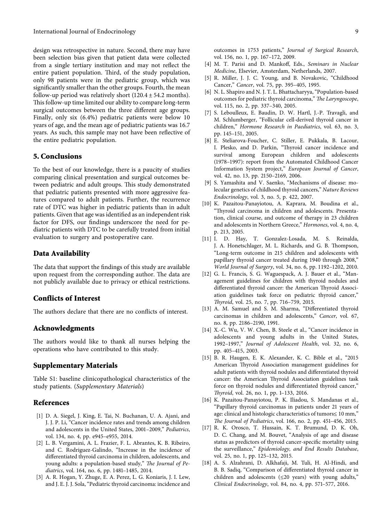<span id="page-8-0"></span>design was retrospective in nature. Second, there may have been selection bias given that patient data were collected from a single tertiary institution and may not reflect the entire patient population. Third, of the study population, only 98 patients were in the pediatric group, which was significantly smaller than the other groups. Fourth, the mean follow-up period was relatively short  $(120.4 \pm 54.2 \text{ months}).$ This follow-up time limited our ability to compare long-term surgical outcomes between the three different age groups. Finally, only six (6.4%) pediatric patients were below 10 years of age, and the mean age of pediatric patients was 16.7 years. As such, this sample may not have been reflective of the entire pediatric population.

#### **5. Conclusions**

To the best of our knowledge, there is a paucity of studies comparing clinical presentation and surgical outcomes between pediatric and adult groups. This study demonstrated that pediatric patients presented with more aggressive features compared to adult patients. Further, the recurrence rate of DTC was higher in pediatric patients than in adult patients. Given that age was identified as an independent risk factor for DFS, our findings underscore the need for pediatric patients with DTC to be carefully treated from initial evaluation to surgery and postoperative care.

#### **Data Availability**

The data that support the findings of this study are available upon request from the corresponding author. The data are not publicly available due to privacy or ethical restrictions.

#### **Conflicts of Interest**

The authors declare that there are no conflicts of interest.

#### **Acknowledgments**

The authors would like to thank all nurses helping the operations who have contributed to this study.

#### **Supplementary Materials**

Table S1: baseline clinicopathological characteristics of the study patients. (*[Supplementary Materials](https://downloads.hindawi.com/journals/ije/2022/7804612.f1.docx)*)

#### **References**

- [1] D. A. Siegel, J. King, E. Tai, N. Buchanan, U. A. Ajani, and J. J. P. Li, "Cancer incidence rates and trends among children and adolescents in the United States, 2001–2009," *Pediatrics*, vol. 134, no. 4, pp. e945–e955, 2014.
- [2] L. B. Vergamini, A. L. Frazier, F. L. Abrantes, K. B. Ribeiro, and C. Rodriguez-Galindo, "Increase in the incidence of differentiated thyroid carcinoma in children, adolescents, and young adults: a population-based study," *The Journal of Pediatrics*, vol. 164, no. 6, pp. 1481–1485, 2014.
- [3] A. R. Hogan, Y. Zhuge, E. A. Perez, L. G. Koniaris, J. I. Lew, and J. E. J. J. Sola, "Pediatric thyroid carcinoma: incidence and

outcomes in 1753 patients," *Journal of Surgical Research*, vol. 156, no. 1, pp. 167–172, 2009.

- [4] M. T. Parisi and D. Mankoff, Eds., *Seminars in Nuclear Medicine*, Elsevier, Amsterdam, Netherlands, 2007.
- [5] R. Miller, J. J. C. Young, and B. Novakovic, "Childhood Cancer," *Cancer*, vol. 75, pp. 395–405, 1995.
- [6] N. L. Shapiro and N. J. T. L. Bhattacharyya, "Population-based outcomes for pediatric thyroid carcinoma," The Laryngoscope, vol. 115, no. 2, pp. 337–340, 2005.
- [7] S. Leboulleux, E. Baudin, D. W. Hartl, J.-P. Travagli, and M. Schlumberger, "Follicular cell-derived thyroid cancer in children," *Hormone Research in Paediatrics*, vol. 63, no. 3, pp. 145–151, 2005.
- [8] E. Steliarova-Foucher, C. Stiller, E. Pukkala, B. Lacour, I. Plesko, and D. Parkin, "Thyroid cancer incidence and survival among European children and adolescents (1978–1997): report from the Automated Childhood Cancer Information System project," *European Journal of Cancer*, vol. 42, no. 13, pp. 2150–2169, 2006.
- [9] S. Yamashita and V. Saenko, "Mechanisms of disease: molecular genetics of childhood thyroid cancers," *Nature Reviews Endocrinology*, vol. 3, no. 5, p. 422, 2007.
- [10] K. Pazaitou-Panayiotou, A. Kaprara, M. Boudina et al., "Thyroid carcinoma in children and adolescents. Presentation, clinical course, and outcome of therapy in 23 children and adolescents in Northern Greece," *Hormones*, vol. 4, no. 4, p. 213, 2005.
- [11] I. D. Hay, T. Gonzalez-Losada, M. S. Reinalda, J. A. Honetschlager, M. L. Richards, and G. B. Thompson, "Long-term outcome in 215 children and adolescents with papillary thyroid cancer treated during 1940 through 2008," *World Journal of Surgery*, vol. 34, no. 6, pp. 1192–1202, 2010.
- [12] G. L. Francis, S. G. Waguespack, A. J. Bauer et al., "Management guidelines for children with thyroid nodules and differentiated thyroid cancer: the American Thyroid Association guidelines task force on pediatric thyroid cancer," *yroid*, vol. 25, no. 7, pp. 716–759, 2015.
- [13] A. M. Samuel and S. M. Sharma, "Differentiated thyroid carcinomas in children and adolescents," *Cancer*, vol. 67, no. 8, pp. 2186–2190, 1991.
- [14] X.-C. Wu, V. W. Chen, B. Steele et al., "Cancer incidence in adolescents and young adults in the United States, 1992–1997," *Journal of Adolescent Health*, vol. 32, no. 6, pp. 405–415, 2003.
- [15] B. R. Haugen, E. K. Alexander, K. C. Bible et al., "2015 American Thyroid Association management guidelines for adult patients with thyroid nodules and differentiated thyroid cancer: the American Thyroid Association guidelines task force on thyroid nodules and differentiated thyroid cancer," *yroid*, vol. 26, no. 1, pp. 1–133, 2016.
- [16] K. Pazaitou-Panayiotou, P. K. Iliadou, S. Mandanas et al., "Papillary thyroid carcinomas in patients under 21 years of age: clinical and histologic characteristics of tumors≤ 10 mm," *e Journal of Pediatrics*, vol. 166, no. 2, pp. 451–456, 2015.
- [17] R. K. Orosco, T. Hussain, K. T. Brumund, D. K. Oh, D. C. Chang, and M. Bouvet, "Analysis of age and disease status as predictors of thyroid cancer-specific mortality using the surveillance," *Epidemiology, and End Results Database*, vol. 25, no. 1, pp. 125–132, 2015.
- [18] A. S. Alzahrani, D. Alkhafaji, M. Tuli, H. Al-Hindi, and B. B. Sadiq, "Comparison of differentiated thyroid cancer in children and adolescents  $(\leq 20$  years) with young adults," *Clinical Endocrinology*, vol. 84, no. 4, pp. 571–577, 2016.